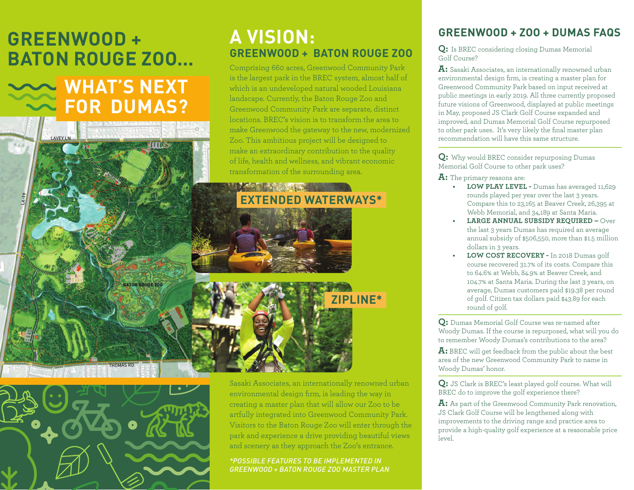# **GREENWOOD + BATON ROUGE ZOO...**

**WHAT'S NEXT FOR DUMAS?** 

LAVEY LN

LA-19

### **A VISION: GREENWOOD + BATON ROUGE ZOO**

Comprising 660 acres, Greenwood Community Park is the largest park in the BREC system, almost half of which is an undeveloped natural wooded Louisiana landscape. Currently, the Baton Rouge Zoo and Greenwood Community Park are separate, distinct locations. BREC's vision is to transform the area to make Greenwood the gateway to the new, modernized Zoo. This ambitious project will be designed to make an extraordinary contribution to the quality of life, health and wellness, and vibrant economic transformation of the surrounding area.

## **EXTENDED WATERWAYS\***



THOMAS RD

BATON ROUGE ZOO

Sasaki Associates, an internationally renowned urban environmental design firm, is leading the way in creating a master plan that will allow our Zoo to be artfully integrated into Greenwood Community Park. Visitors to the Baton Rouge Zoo will enter through the park and experience a drive providing beautiful views and scenery as they approach the Zoo's entrance.

**ZIPLINE\***

*\*POSSIBLE FEATURES TO BE IMPLEMENTED IN GREENWOOD + BATON ROUGE ZOO MASTER PLAN*

#### **GREENWOOD + ZOO + DUMAS FAQS**

**Q:** Is BREC considering closing Dumas Memorial Golf Course?

**A:** Sasaki Associates, an internationally renowned urban environmental design firm, is creating a master plan for Greenwood Community Park based on input received at public meetings in early 2019. All three currently proposed future visions of Greenwood, displayed at public meetings in May, proposed JS Clark Golf Course expanded and improved, and Dumas Memorial Golf Course repurposed to other park uses. It's very likely the final master plan recommendation will have this same structure.

**Q:** Why would BREC consider repurposing Dumas Memorial Golf Course to other park uses?

**A:** The primary reasons are:

- **• LOW PLAY LEVEL -** Dumas has averaged 11,629 rounds played per year over the last 3 years. Compare this to 23,165 at Beaver Creek, 26,395 at Webb Memorial, and 34,189 at Santa Maria.
- XTENDED WATERWAYS\*<br>
Compare this to 23,165 at Beaver Creek, 26,395 at<br>
Webb Memorial, and 34,189 at Santa Maria.<br>
LARGE ANNUAL SUBSIDY REQUIRED Over<br>
the last 3 years Dumas has required an average<br>
annual subsidy of \$506 **• LARGE ANNUAL SUBSIDY REQUIRED –** Over the last 3 years Dumas has required an average annual subsidy of \$506,550, more than \$1.5 million dollars in 3 years.
- Course recovered 31.7% of its costs. Compare this<br>to 64.6% at Webb, 84.9% at Beaver Creek, and<br>104.7% at Santa Maria. During the last 3 years, on<br>average, Dumas customers paid \$19.38 per round<br>of golf. Citizen tax dollars **• LOW COST RECOVERY -** In 2018 Dumas golf course recovered 31.7% of its costs. Compare this to 64.6% at Webb, 84.9% at Beaver Creek, and 104.7% at Santa Maria. During the last 3 years, on average, Dumas customers paid \$19.38 per round of golf. Citizen tax dollars paid \$43.89 for each round of golf.

**Q:** Dumas Memorial Golf Course was re-named after Woody Dumas. If the course is repurposed, what will you do to remember Woody Dumas's contributions to the area?

Woody Dumas. If the course is repurposed, what will you do<br>to remember Woody Dumas's contributions to the area?<br>A: BREC will get feedback from the public about the best<br>area of the new Greenwood Community Park to name in<br>W **A:** BREC will get feedback from the public about the best area of the new Greenwood Community Park to name in Woody Dumas' honor.

**Q:** JS Clark is BREC's least played golf course. What will BREC do to improve the golf experience there?

**A:** As part of the Greenwood Community Park renovation, JS Clark Golf Course will be lengthened along with improvements to the driving range and practice area to provide a high-quality golf experience at a reasonable price level.